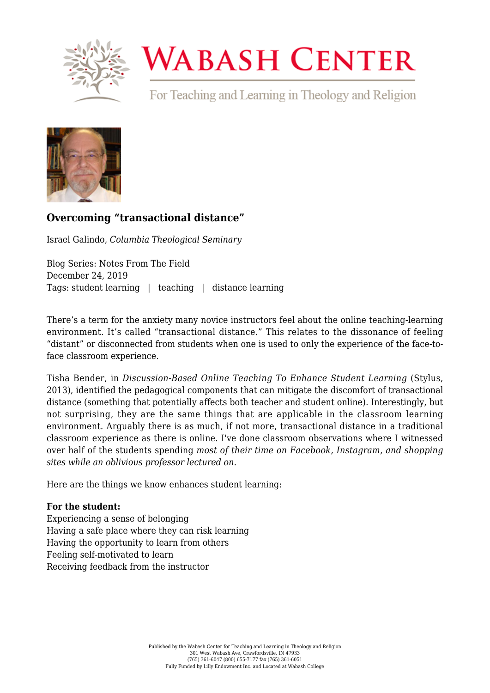

## **WABASH CENTER**

For Teaching and Learning in Theology and Religion



## **[Overcoming "transactional distance"](https://www.wabashcenter.wabash.edu/2019/12/overcoming-transactional-distance/)**

Israel Galindo, *Columbia Theological Seminary*

Blog Series: Notes From The Field December 24, 2019 Tags: student learning | teaching | distance learning

There's a term for the anxiety many novice instructors feel about the online teaching-learning environment. It's called "transactional distance." This relates to the dissonance of feeling "distant" or disconnected from students when one is used to only the experience of the face-toface classroom experience.

Tisha Bender, in *Discussion-Based Online Teaching To Enhance Student Learning* (Stylus, 2013), identified the pedagogical components that can mitigate the discomfort of transactional distance (something that potentially affects both teacher and student online). Interestingly, but not surprising, they are the same things that are applicable in the classroom learning environment. Arguably there is as much, if not more, transactional distance in a traditional classroom experience as there is online. I've done classroom observations where I witnessed over half of the students spending *most of their time on Facebook, Instagram, and shopping sites while an oblivious professor lectured on.*

Here are the things we know enhances student learning:

## **For the student:**

Experiencing a sense of belonging Having a safe place where they can risk learning Having the opportunity to learn from others Feeling self-motivated to learn Receiving feedback from the instructor